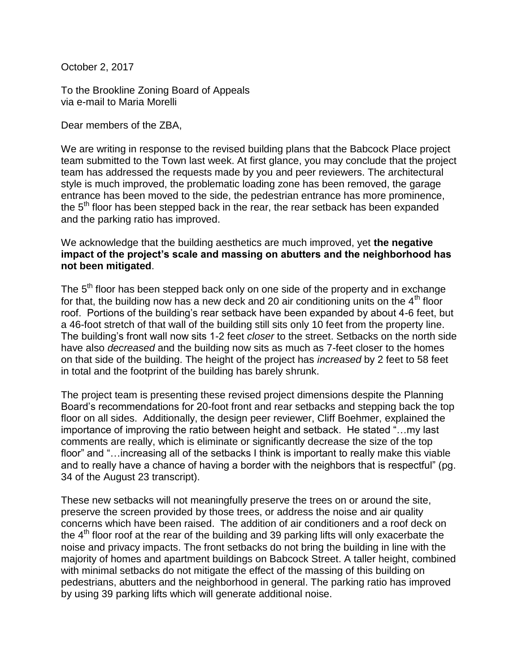October 2, 2017

To the Brookline Zoning Board of Appeals via e-mail to Maria Morelli

Dear members of the ZBA,

We are writing in response to the revised building plans that the Babcock Place project team submitted to the Town last week. At first glance, you may conclude that the project team has addressed the requests made by you and peer reviewers. The architectural style is much improved, the problematic loading zone has been removed, the garage entrance has been moved to the side, the pedestrian entrance has more prominence, the  $5<sup>th</sup>$  floor has been stepped back in the rear, the rear setback has been expanded and the parking ratio has improved.

We acknowledge that the building aesthetics are much improved, yet **the negative impact of the project's scale and massing on abutters and the neighborhood has not been mitigated**.

The 5<sup>th</sup> floor has been stepped back only on one side of the property and in exchange for that, the building now has a new deck and 20 air conditioning units on the  $4<sup>th</sup>$  floor roof. Portions of the building's rear setback have been expanded by about 4-6 feet, but a 46-foot stretch of that wall of the building still sits only 10 feet from the property line. The building's front wall now sits 1-2 feet *closer* to the street. Setbacks on the north side have also *decreased* and the building now sits as much as 7-feet closer to the homes on that side of the building. The height of the project has *increased* by 2 feet to 58 feet in total and the footprint of the building has barely shrunk.

The project team is presenting these revised project dimensions despite the Planning Board's recommendations for 20-foot front and rear setbacks and stepping back the top floor on all sides. Additionally, the design peer reviewer, Cliff Boehmer, explained the importance of improving the ratio between height and setback. He stated "…my last comments are really, which is eliminate or significantly decrease the size of the top floor" and "...increasing all of the setbacks I think is important to really make this viable and to really have a chance of having a border with the neighbors that is respectful" (pg. 34 of the August 23 transcript).

These new setbacks will not meaningfully preserve the trees on or around the site, preserve the screen provided by those trees, or address the noise and air quality concerns which have been raised. The addition of air conditioners and a roof deck on the  $4<sup>th</sup>$  floor roof at the rear of the building and 39 parking lifts will only exacerbate the noise and privacy impacts. The front setbacks do not bring the building in line with the majority of homes and apartment buildings on Babcock Street. A taller height, combined with minimal setbacks do not mitigate the effect of the massing of this building on pedestrians, abutters and the neighborhood in general. The parking ratio has improved by using 39 parking lifts which will generate additional noise.